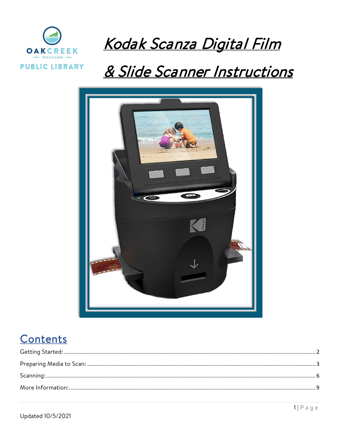

# Kodak Scanza Digital Film

# & Slide Scanner Instructions



# Contents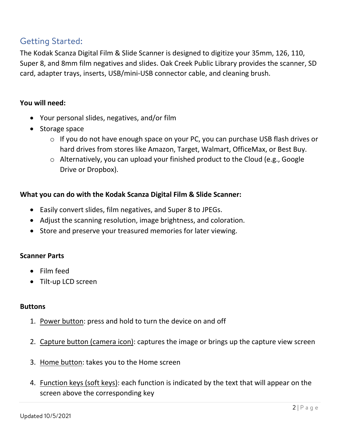# <span id="page-1-0"></span>Getting Started:

The Kodak Scanza Digital Film & Slide Scanner is designed to digitize your 35mm, 126, 110, Super 8, and 8mm film negatives and slides. Oak Creek Public Library provides the scanner, SD card, adapter trays, inserts, USB/mini-USB connector cable, and cleaning brush.

## **You will need:**

- Your personal slides, negatives, and/or film
- Storage space
	- o If you do not have enough space on your PC, you can purchase USB flash drives or hard drives from stores like Amazon, Target, Walmart, OfficeMax, or Best Buy.
	- o Alternatively, you can upload your finished product to the Cloud (e.g., Google Drive or Dropbox).

### **What you can do with the Kodak Scanza Digital Film & Slide Scanner:**

- Easily convert slides, film negatives, and Super 8 to JPEGs.
- Adjust the scanning resolution, image brightness, and coloration.
- Store and preserve your treasured memories for later viewing.

#### **Scanner Parts**

- Film feed
- Tilt-up LCD screen

#### **Buttons**

- 1. Power button: press and hold to turn the device on and off
- 2. Capture button (camera icon): captures the image or brings up the capture view screen
- 3. Home button: takes you to the Home screen
- 4. Function keys (soft keys): each function is indicated by the text that will appear on the screen above the corresponding key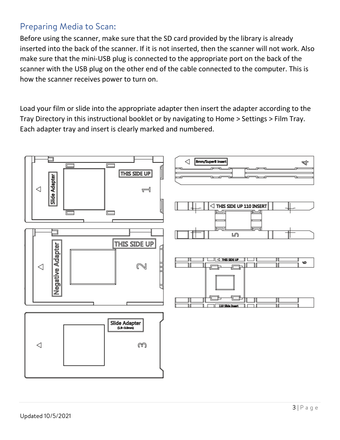# <span id="page-2-0"></span>Preparing Media to Scan:

Before using the scanner, make sure that the SD card provided by the library is already inserted into the back of the scanner. If it is not inserted, then the scanner will not work. Also make sure that the mini-USB plug is connected to the appropriate port on the back of the scanner with the USB plug on the other end of the cable connected to the computer. This is how the scanner receives power to turn on.

Load your film or slide into the appropriate adapter then insert the adapter according to the Tray Directory in this instructional booklet or by navigating to Home > Settings > Film Tray. Each adapter tray and insert is clearly marked and numbered.

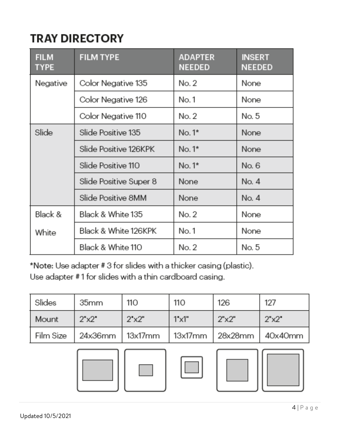# **TRAY DIRECTORY**

| <b>FILM</b><br><b>TYPE</b> | <b>FILM TYPE</b>       | <b>ADAPTER</b><br><b>NEEDED</b> | <b>INSERT</b><br><b>NEEDED</b> |
|----------------------------|------------------------|---------------------------------|--------------------------------|
| Negative                   | Color Negative 135     | No. 2                           | None                           |
|                            | Color Negative 126     | No. 1                           | None                           |
|                            | Color Negative 110     | No. 2                           | No. 5                          |
| Slide                      | Slide Positive 135     | $No.1*$                         | None                           |
|                            | Slide Positive 126KPK  | $No.1*$                         | None                           |
|                            | Slide Positive 110     | $No.1*$                         | No. 6                          |
|                            | Slide Positive Super 8 | None                            | No. 4                          |
|                            | Slide Positive 8MM     | None                            | No. 4                          |
| Black &                    | Black & White 135      | No. 2                           | <b>None</b>                    |
| White                      | Black & White 126KPK   | No. 1                           | None                           |
|                            | Black & White 110      | No. 2                           | No. 5                          |

\*Note: Use adapter #3 for slides with a thicker casing (plastic).

Use adapter #1 for slides with a thin cardboard casing.

| Slides       | 35 <sub>mm</sub>               | 110                          | <b>110</b>   | 126   | 127                      |
|--------------|--------------------------------|------------------------------|--------------|-------|--------------------------|
| <b>Mount</b> | $2^{\prime} \times 2^{\prime}$ | $2^{\circ} \times 2^{\circ}$ | $T \times T$ | 2"x2" | $2^{\nu} \times 2^{\nu}$ |
| Film Size    | 24x36mm                        | 13x17mm                      | 13x17mm      |       | 28x28mm   40x40mm        |

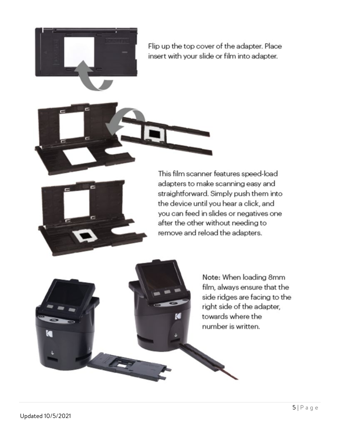



This film scanner features speed-load adapters to make scanning easy and straightforward. Simply push them into the device until you hear a click, and you can feed in slides or negatives one after the other without needing to remove and reload the adapters.

K

Note: When loading 8mm film, always ensure that the side ridges are facing to the right side of the adapter, towards where the number is written.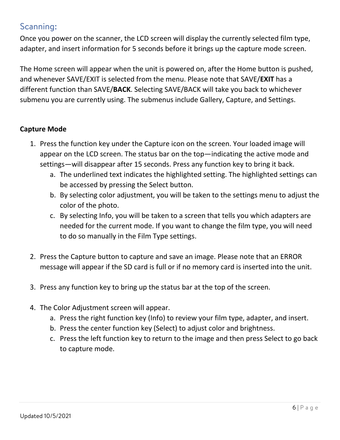# <span id="page-5-0"></span>Scanning:

Once you power on the scanner, the LCD screen will display the currently selected film type, adapter, and insert information for 5 seconds before it brings up the capture mode screen.

The Home screen will appear when the unit is powered on, after the Home button is pushed, and whenever SAVE/EXIT is selected from the menu. Please note that SAVE/**EXIT** has a different function than SAVE/**BACK**. Selecting SAVE/BACK will take you back to whichever submenu you are currently using. The submenus include Gallery, Capture, and Settings.

## **Capture Mode**

- 1. Press the function key under the Capture icon on the screen. Your loaded image will appear on the LCD screen. The status bar on the top—indicating the active mode and settings—will disappear after 15 seconds. Press any function key to bring it back.
	- a. The underlined text indicates the highlighted setting. The highlighted settings can be accessed by pressing the Select button.
	- b. By selecting color adjustment, you will be taken to the settings menu to adjust the color of the photo.
	- c. By selecting Info, you will be taken to a screen that tells you which adapters are needed for the current mode. If you want to change the film type, you will need to do so manually in the Film Type settings.
- 2. Press the Capture button to capture and save an image. Please note that an ERROR message will appear if the SD card is full or if no memory card is inserted into the unit.
- 3. Press any function key to bring up the status bar at the top of the screen.
- 4. The Color Adjustment screen will appear.
	- a. Press the right function key (Info) to review your film type, adapter, and insert.
	- b. Press the center function key (Select) to adjust color and brightness.
	- c. Press the left function key to return to the image and then press Select to go back to capture mode.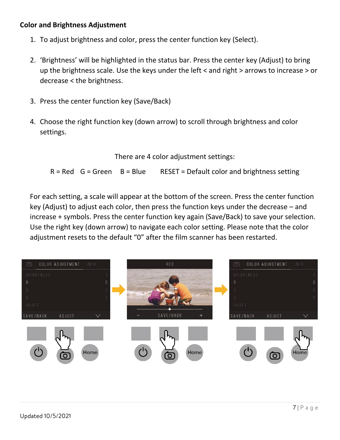### **Color and Brightness Adjustment**

- 1. To adjust brightness and color, press the center function key (Select).
- 2. 'Brightness' will be highlighted in the status bar. Press the center key (Adjust) to bring up the brightness scale. Use the keys under the left < and right > arrows to increase > or decrease < the brightness.
- 3. Press the center function key (Save/Back)
- 4. Choose the right function key (down arrow) to scroll through brightness and color settings.

There are 4 color adjustment settings:

 $R = Red$  G = Green B = Blue RESET = Default color and brightness setting

For each setting, a scale will appear at the bottom of the screen. Press the center function key (Adjust) to adjust each color, then press the function keys under the decrease – and increase + symbols. Press the center function key again (Save/Back) to save your selection. Use the right key (down arrow) to navigate each color setting. Please note that the color adjustment resets to the default "0" after the film scanner has been restarted.

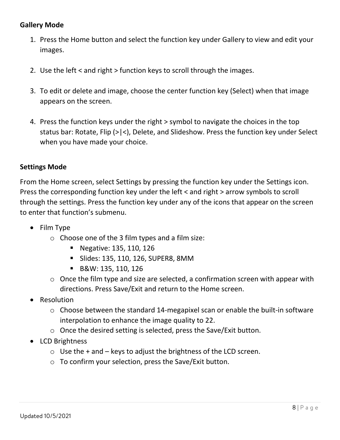## **Gallery Mode**

- 1. Press the Home button and select the function key under Gallery to view and edit your images.
- 2. Use the left < and right > function keys to scroll through the images.
- 3. To edit or delete and image, choose the center function key (Select) when that image appears on the screen.
- 4. Press the function keys under the right > symbol to navigate the choices in the top status bar: Rotate, Flip (>|<), Delete, and Slideshow. Press the function key under Select when you have made your choice.

#### **Settings Mode**

From the Home screen, select Settings by pressing the function key under the Settings icon. Press the corresponding function key under the left < and right > arrow symbols to scroll through the settings. Press the function key under any of the icons that appear on the screen to enter that function's submenu.

- Film Type
	- o Choose one of the 3 film types and a film size:
		- **Negative: 135, 110, 126**
		- Slides: 135, 110, 126, SUPER8, 8MM
		- B&W: 135, 110, 126
	- o Once the film type and size are selected, a confirmation screen with appear with directions. Press Save/Exit and return to the Home screen.
- **Resolution** 
	- o Choose between the standard 14-megapixel scan or enable the built-in software interpolation to enhance the image quality to 22.
	- o Once the desired setting is selected, press the Save/Exit button.
- LCD Brightness
	- $\circ$  Use the + and keys to adjust the brightness of the LCD screen.
	- o To confirm your selection, press the Save/Exit button.